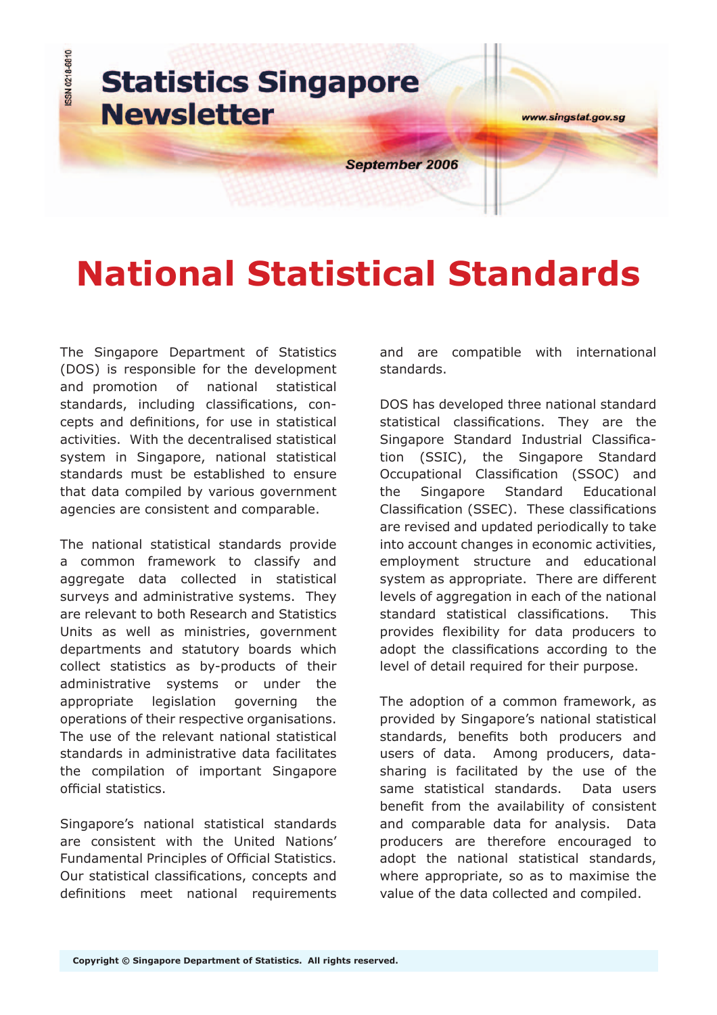

# **National Statistical Standards**

The Singapore Department of Statistics (DOS) is responsible for the development and promotion of national statistical standards, including classifications, concepts and definitions, for use in statistical activities. With the decentralised statistical system in Singapore, national statistical standards must be established to ensure that data compiled by various government agencies are consistent and comparable.

The national statistical standards provide a common framework to classify and aggregate data collected in statistical surveys and administrative systems. They are relevant to both Research and Statistics Units as well as ministries, government departments and statutory boards which collect statistics as by-products of their administrative systems or under the appropriate legislation governing the operations of their respective organisations. The use of the relevant national statistical standards in administrative data facilitates the compilation of important Singapore official statistics.

Singapore's national statistical standards are consistent with the United Nations' Fundamental Principles of Official Statistics. Our statistical classifications, concepts and definitions meet national requirements and are compatible with international standards.

DOS has developed three national standard statistical classifications. They are the Singapore Standard Industrial Classification (SSIC), the Singapore Standard Occupational Classification (SSOC) and the Singapore Standard Educational Classification (SSEC). These classifications are revised and updated periodically to take into account changes in economic activities, employment structure and educational system as appropriate. There are different levels of aggregation in each of the national standard statistical classifications. This provides flexibility for data producers to adopt the classifications according to the level of detail required for their purpose.

The adoption of a common framework, as provided by Singapore's national statistical standards, benefits both producers and users of data. Among producers, datasharing is facilitated by the use of the same statistical standards. Data users benefit from the availability of consistent and comparable data for analysis. Data producers are therefore encouraged to adopt the national statistical standards, where appropriate, so as to maximise the value of the data collected and compiled.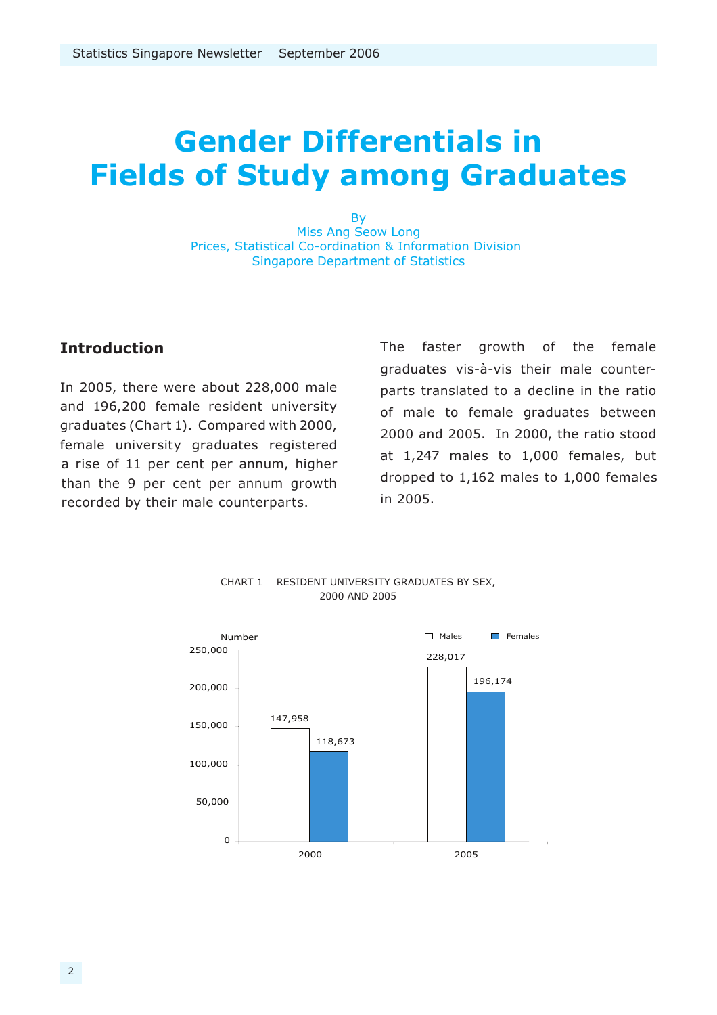## **Gender Differentials in Fields of Study among Graduates**

By Miss Ang Seow Long Prices, Statistical Co-ordination & Information Division Singapore Department of Statistics

#### **Introduction**

In 2005, there were about 228,000 male and 196,200 female resident university graduates (Chart 1). Compared with 2000, female university graduates registered a rise of 11 per cent per annum, higher than the 9 per cent per annum growth recorded by their male counterparts.

The faster growth of the female graduates vis-à-vis their male counterparts translated to a decline in the ratio of male to female graduates between 2000 and 2005. In 2000, the ratio stood at 1,247 males to 1,000 females, but dropped to 1,162 males to 1,000 females in 2005.



#### CHART 1 RESIDENT UNIVERSITY GRADUATES BY SEX, 2000 AND 2005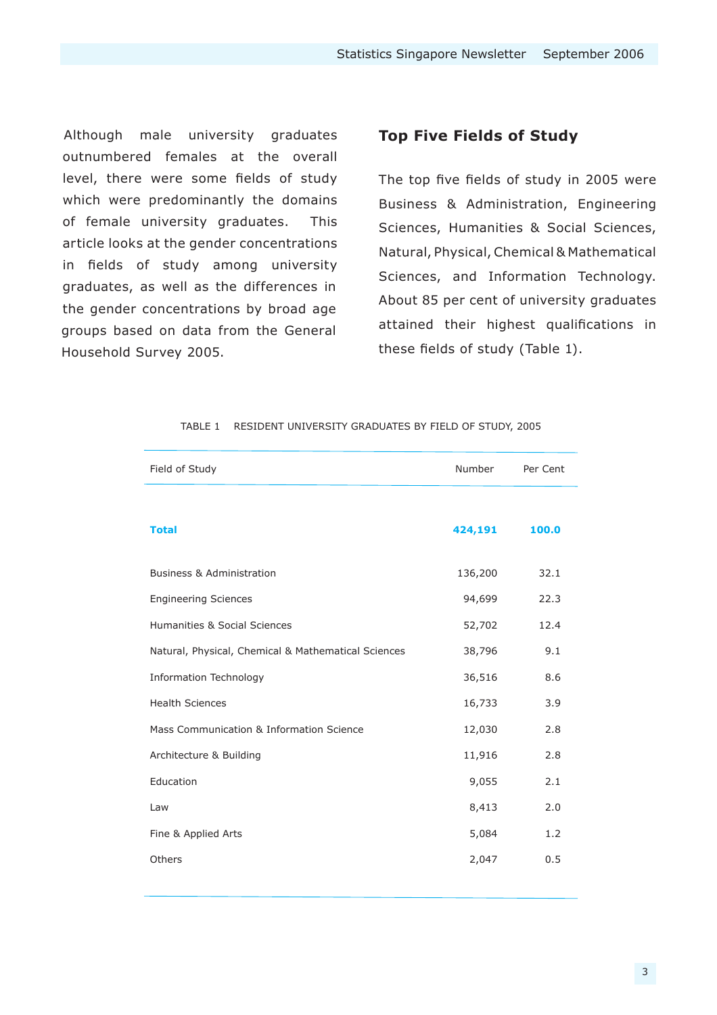Although male university graduates outnumbered females at the overall level, there were some fields of study which were predominantly the domains of female university graduates. This article looks at the gender concentrations in fields of study among university graduates, as well as the differences in the gender concentrations by broad age groups based on data from the General Household Survey 2005.

#### **Top Five Fields of Study**

The top five fields of study in 2005 were Business & Administration, Engineering Sciences, Humanities & Social Sciences, Natural, Physical, Chemical & Mathematical Sciences, and Information Technology. About 85 per cent of university graduates attained their highest qualifications in these fields of study (Table 1).

| Field of Study                                      | Number  | Per Cent |
|-----------------------------------------------------|---------|----------|
|                                                     |         |          |
| <b>Total</b>                                        | 424,191 | 100.0    |
| <b>Business &amp; Administration</b>                | 136,200 | 32.1     |
| <b>Engineering Sciences</b>                         | 94,699  | 22.3     |
| Humanities & Social Sciences                        | 52,702  | 12.4     |
| Natural, Physical, Chemical & Mathematical Sciences | 38,796  | 9.1      |
| <b>Information Technology</b>                       | 36,516  | 8.6      |
| <b>Health Sciences</b>                              | 16,733  | 3.9      |
| Mass Communication & Information Science            | 12,030  | 2.8      |
| Architecture & Building                             | 11,916  | 2.8      |
| Education                                           | 9,055   | 2.1      |
| Law                                                 | 8,413   | 2.0      |
| Fine & Applied Arts                                 | 5,084   | 1.2      |
| Others                                              | 2,047   | 0.5      |

#### TABLE 1 RESIDENT UNIVERSITY GRADUATES BY FIELD OF STUDY, 2005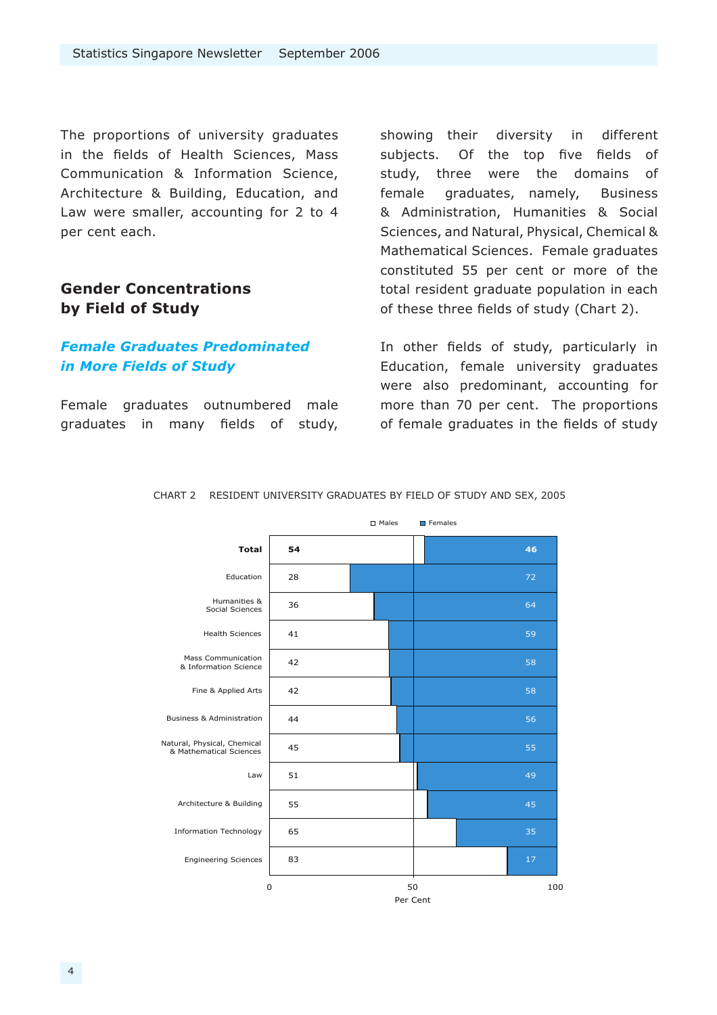The proportions of university graduates in the fields of Health Sciences, Mass Communication & Information Science, Architecture & Building, Education, and Law were smaller, accounting for 2 to 4 per cent each.

#### **Gender Concentrations by Field of Study**

#### *Female Graduates Predominated in More Fields of Study*

Female graduates outnumbered male graduates in many fields of study, showing their diversity in different subjects. Of the top five fields of study, three were the domains of female graduates, namely, Business & Administration, Humanities & Social Sciences, and Natural, Physical, Chemical & Mathematical Sciences. Female graduates constituted 55 per cent or more of the total resident graduate population in each of these three fields of study (Chart 2).

In other fields of study, particularly in Education, female university graduates were also predominant, accounting for more than 70 per cent. The proportions of female graduates in the fields of study



CHART 2 RESIDENT UNIVERSITY GRADUATES BY FIELD OF STUDY AND SEX, 2005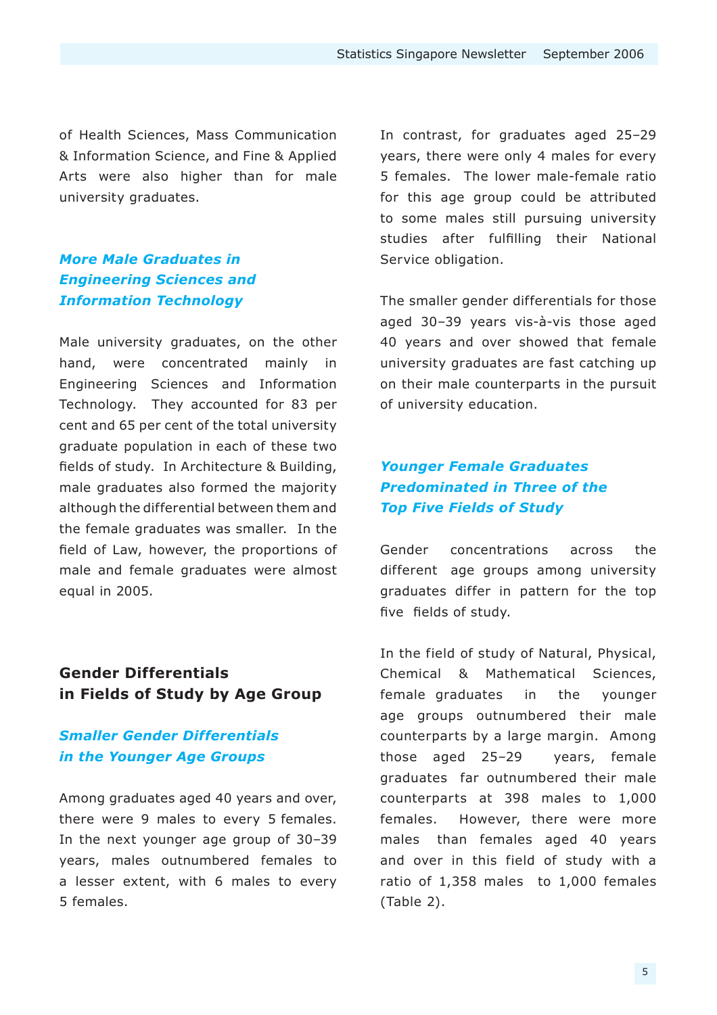of Health Sciences, Mass Communication & Information Science, and Fine & Applied Arts were also higher than for male university graduates.

#### *More Male Graduates in Engineering Sciences and Information Technology*

Male university graduates, on the other hand, were concentrated mainly in Engineering Sciences and Information Technology. They accounted for 83 per cent and 65 per cent of the total university graduate population in each of these two fields of study. In Architecture & Building, male graduates also formed the majority although the differential between them and the female graduates was smaller. In the field of Law, however, the proportions of male and female graduates were almost equal in 2005.

#### **Gender Differentials in Fields of Study by Age Group**

#### *Smaller Gender Differentials in the Younger Age Groups*

Among graduates aged 40 years and over, there were 9 males to every 5 females. In the next younger age group of 30–39 years, males outnumbered females to a lesser extent, with 6 males to every 5 females.

In contrast, for graduates aged 25–29 years, there were only 4 males for every 5 females. The lower male-female ratio for this age group could be attributed to some males still pursuing university studies after fulfilling their National Service obligation.

The smaller gender differentials for those aged 30–39 years vis-à-vis those aged 40 years and over showed that female university graduates are fast catching up on their male counterparts in the pursuit of university education.

#### *Younger Female Graduates Predominated in Three of the Top Five Fields of Study*

Gender concentrations across the different age groups among university graduates differ in pattern for the top five fields of study.

In the field of study of Natural, Physical, Chemical & Mathematical Sciences, female graduates in the younger age groups outnumbered their male counterparts by a large margin. Among those aged 25–29 years, female graduates far outnumbered their male counterparts at 398 males to 1,000 females. However, there were more males than females aged 40 years and over in this field of study with a ratio of 1,358 males to 1,000 females (Table 2).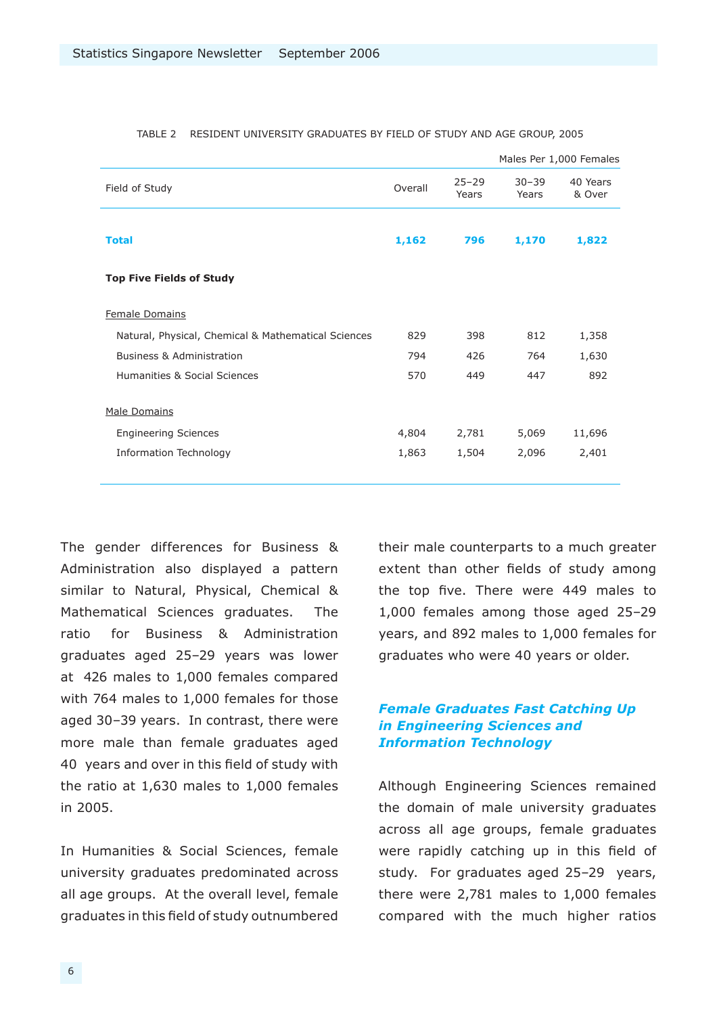|         |                    |                    | Males Per 1,000 Females |
|---------|--------------------|--------------------|-------------------------|
| Overall | $25 - 29$<br>Years | $30 - 39$<br>Years | 40 Years<br>& Over      |
| 1,162   | 796                | 1,170              | 1,822                   |
|         |                    |                    |                         |
|         |                    |                    |                         |
| 829     | 398                | 812                | 1,358                   |
| 794     | 426                | 764                | 1,630                   |
| 570     | 449                | 447                | 892                     |
|         |                    |                    |                         |
| 4,804   | 2,781              | 5,069              | 11,696                  |
| 1,863   | 1,504              | 2,096              | 2,401                   |
|         |                    |                    |                         |

#### TABLE 2 RESIDENT UNIVERSITY GRADUATES BY FIELD OF STUDY AND AGE GROUP, 2005

The gender differences for Business & Administration also displayed a pattern similar to Natural, Physical, Chemical & Mathematical Sciences graduates. The ratio for Business & Administration graduates aged 25–29 years was lower at 426 males to 1,000 females compared with 764 males to 1,000 females for those aged 30–39 years. In contrast, there were more male than female graduates aged 40 years and over in this field of study with the ratio at 1,630 males to 1,000 females in 2005.

In Humanities & Social Sciences, female university graduates predominated across all age groups. At the overall level, female graduates in this field of study outnumbered their male counterparts to a much greater extent than other fields of study among the top five. There were 449 males to 1,000 females among those aged 25–29 years, and 892 males to 1,000 females for graduates who were 40 years or older.

#### *Female Graduates Fast Catching Up in Engineering Sciences and Information Technology*

Although Engineering Sciences remained the domain of male university graduates across all age groups, female graduates were rapidly catching up in this field of study. For graduates aged 25–29 years, there were 2,781 males to 1,000 females compared with the much higher ratios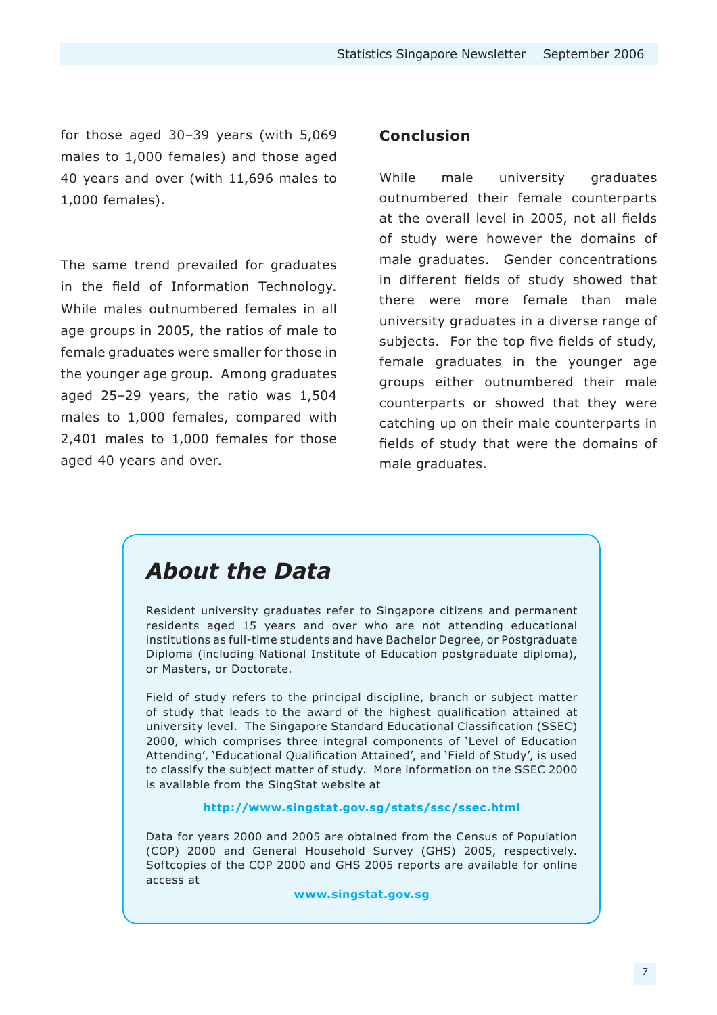for those aged 30–39 years (with 5,069 males to 1,000 females) and those aged 40 years and over (with 11,696 males to 1,000 females).

The same trend prevailed for graduates in the field of Information Technology. While males outnumbered females in all age groups in 2005, the ratios of male to female graduates were smaller for those in the younger age group. Among graduates aged 25–29 years, the ratio was 1,504 males to 1,000 females, compared with 2,401 males to 1,000 females for those aged 40 years and over.

#### **Conclusion**

While male university graduates outnumbered their female counterparts at the overall level in 2005, not all fields of study were however the domains of male graduates. Gender concentrations in different fields of study showed that there were more female than male university graduates in a diverse range of subjects. For the top five fields of study, female graduates in the younger age groups either outnumbered their male counterparts or showed that they were catching up on their male counterparts in fields of study that were the domains of male graduates.

### *About the Data*

Resident university graduates refer to Singapore citizens and permanent residents aged 15 years and over who are not attending educational institutions as full-time students and have Bachelor Degree, or Postgraduate Diploma (including National Institute of Education postgraduate diploma), or Masters, or Doctorate.

Field of study refers to the principal discipline, branch or subject matter of study that leads to the award of the highest qualification attained at university level. The [Singapore Standard Educational Classification](http://www.singstat.gov.sg/pdtsvc/pubn/ssec.html) (SSEC) 2000, which comprises three integral components of 'Level of Education Attending', 'Educational Qualification Attained', and 'Field of Study', is used to classify the subject matter of study. More information on the SSEC 2000 is available from the SingStat website at

#### **http://www.singstat.gov.sg/stats/ssc/ssec.html**

Data for years 2000 and 2005 are obtained from the Census of Population (COP) 2000 and General Household Survey (GHS) 2005, respectively. Softcopies of the COP 2000 and GHS 2005 reports are available for online access at

#### **www.singstat.gov.sg**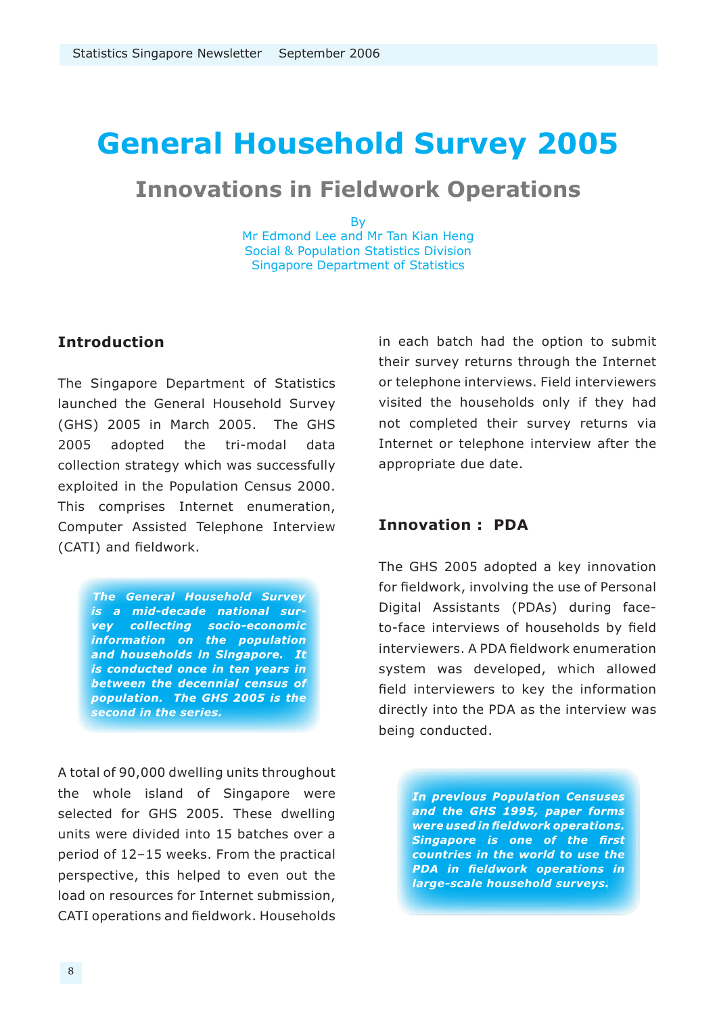## **General Household Survey 2005**

### **Innovations in Fieldwork Operations**

By

Mr Edmond Lee and Mr Tan Kian Heng Social & Population Statistics Division Singapore Department of Statistics

#### **Introduction**

The Singapore Department of Statistics launched the General Household Survey (GHS) 2005 in March 2005. The GHS 2005 adopted the tri-modal data collection strategy which was successfully exploited in the Population Census 2000. This comprises Internet enumeration, Computer Assisted Telephone Interview (CATI) and fieldwork.

> *The General Household Survey is a mid-decade national survey collecting socio-economic informa tion on the population and households in Singapore. It is conducted once in ten years in between the decennial census of population. The GHS 2005 is the second in the series.*

A total of 90,000 dwelling units throughout the whole island of Singapore were selected for GHS 2005. These dwelling units were divided into 15 batches over a period of 12–15 weeks. From the practical perspective, this helped to even out the load on resources for Internet submission, CATI operations and fieldwork. Households

in each batch had the option to submit their survey returns through the Internet or telephone interviews. Field interviewers visited the households only if they had not completed their survey returns via Internet or telephone interview after the appropriate due date.

#### **Innovation : PDA**

The GHS 2005 adopted a key innovation for fieldwork, involving the use of Personal Digital Assistants (PDAs) during faceto-face interviews of households by field interviewers. A PDA fieldwork enumeration system was developed, which allowed field interviewers to key the information directly into the PDA as the interview was being conducted.

> *In previous Population Censuses and the GHS 1995, paper forms were used in fieldwork operations. Singapore is one of the first countries in the world to use the PDA in fieldwork operations in large-scale household surveys.*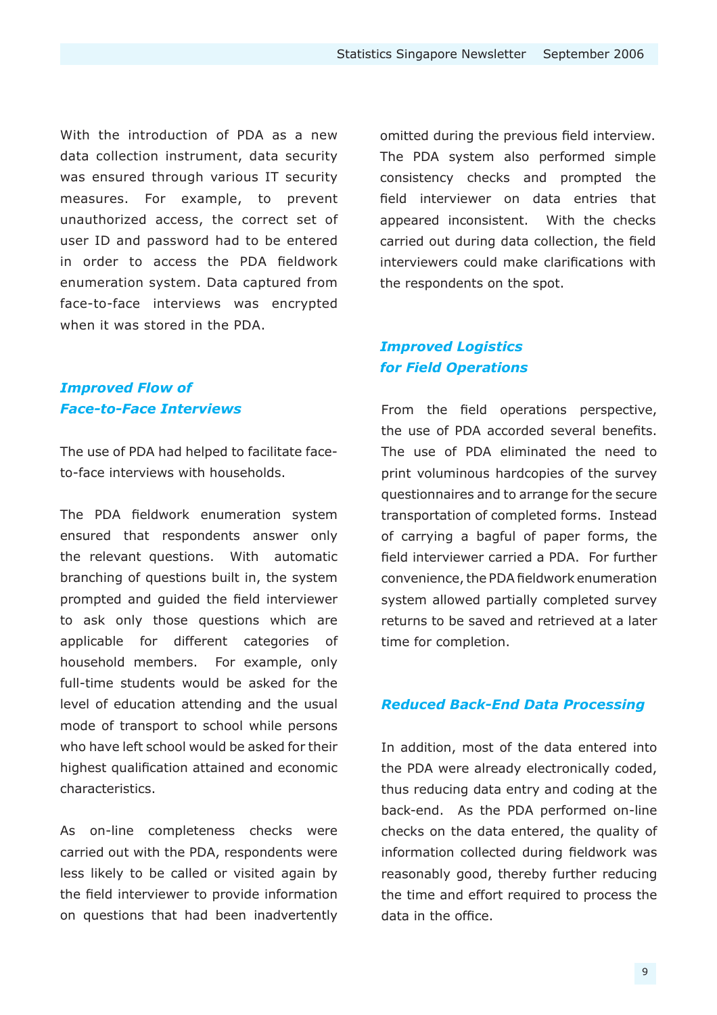With the introduction of PDA as a new data collection instrument, data security was ensured through various IT security measures. For example, to prevent unauthorized access, the correct set of user ID and password had to be entered in order to access the PDA fieldwork enumeration system. Data captured from face-to-face interviews was encrypted when it was stored in the PDA.

#### *Improved Flow of Face-to-Face Interviews*

The use of PDA had helped to facilitate faceto-face interviews with households.

The PDA fieldwork enumeration system ensured that respondents answer only the relevant questions. With automatic branching of questions built in, the system prompted and guided the field interviewer to ask only those questions which are applicable for different categories of household members. For example, only full-time students would be asked for the level of education attending and the usual mode of transport to school while persons who have left school would be asked for their highest qualification attained and economic characteristics.

As on-line completeness checks were carried out with the PDA, respondents were less likely to be called or visited again by the field interviewer to provide information on questions that had been inadvertently omitted during the previous field interview. The PDA system also performed simple consistency checks and prompted the field interviewer on data entries that appeared inconsistent. With the checks carried out during data collection, the field interviewers could make clarifications with the respondents on the spot.

#### *Improved Logistics for Field Operations*

From the field operations perspective, the use of PDA accorded several benefits. The use of PDA eliminated the need to print voluminous hardcopies of the survey questionnaires and to arrange for the secure transportation of completed forms. Instead of carrying a bagful of paper forms, the field interviewer carried a PDA. For further convenience, the PDA fieldwork enumeration system allowed partially completed survey returns to be saved and retrieved at a later time for completion.

#### *Reduced Back-End Data Processing*

In addition, most of the data entered into the PDA were already electronically coded, thus reducing data entry and coding at the back-end. As the PDA performed on-line checks on the data entered, the quality of information collected during fieldwork was reasonably good, thereby further reducing the time and effort required to process the data in the office.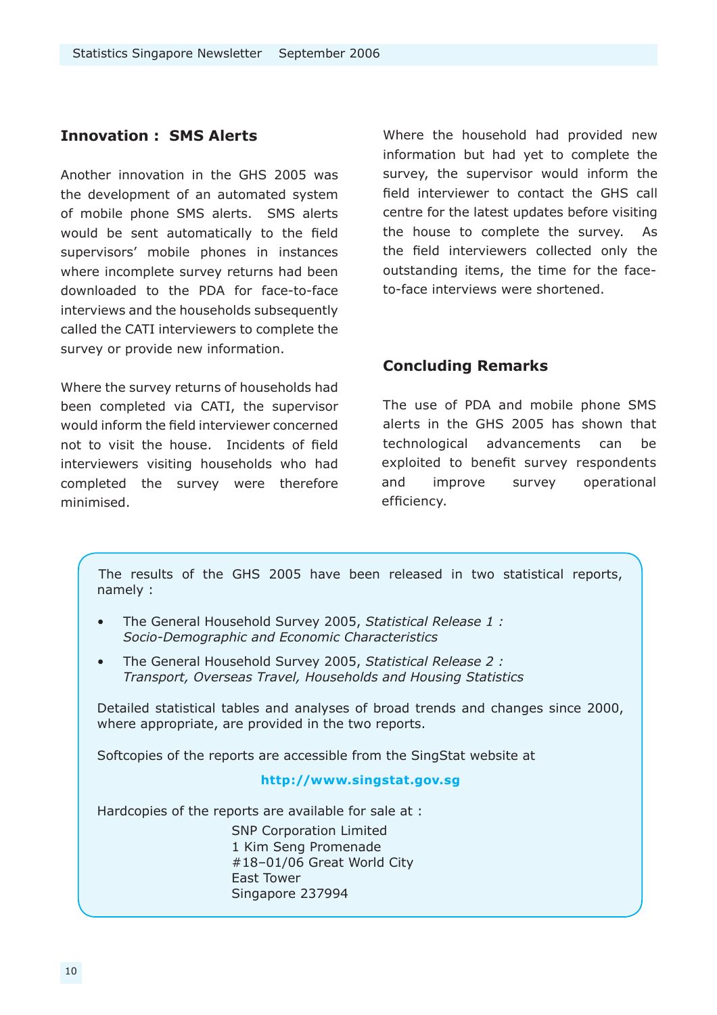#### **Innovation : SMS Alerts**

Another innovation in the GHS 2005 was the development of an automated system of mobile phone SMS alerts. SMS alerts would be sent automatically to the field supervisors' mobile phones in instances where incomplete survey returns had been downloaded to the PDA for face-to-face interviews and the households subsequently called the CATI interviewers to complete the survey or provide new information.

Where the survey returns of households had been completed via CATI, the supervisor would inform the field interviewer concerned not to visit the house. Incidents of field interviewers visiting households who had completed the survey were therefore minimised.

Where the household had provided new information but had yet to complete the survey, the supervisor would inform the field interviewer to contact the GHS call centre for the latest updates before visiting the house to complete the survey. As the field interviewers collected only the outstanding items, the time for the faceto-face interviews were shortened.

#### **Concluding Remarks**

The use of PDA and mobile phone SMS alerts in the GHS 2005 has shown that technological advancements can be exploited to benefit survey respondents and improve survey operational efficiency.

The results of the GHS 2005 have been released in two statistical reports, namely :

- The General Household Survey 2005, *Statistical Release 1 : [Socio-Demographic and Economic Characteristics](http://www.singstat.gov.sg/pdtsvc/pubn/ghsr1.html)* •
- The General Household Survey 2005, *Statistical Release 2 : [Transport, Overseas Travel, Households and Housing Statistics](http://www.singstat.gov.sg/pdtsvc/pubn/ghsr2.html)* •

Detailed statistical tables and analyses of broad trends and changes since 2000, where appropriate, are provided in the two reports.

Softcopies of the reports are accessible from the SingStat website at

#### **http://www.singstat.gov.sg**

Hardcopies of the reports are available for sale at :

SNP Corporation Limited 1 Kim Seng Promenade #18–01/06 Great World City East Tower Singapore 237994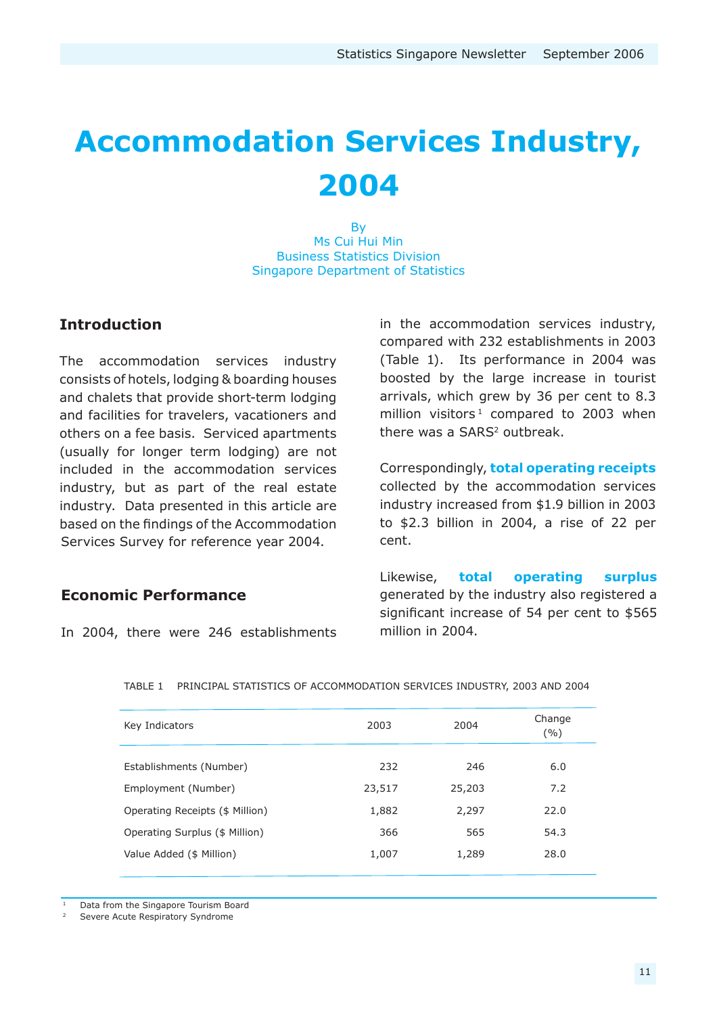# **Accommodation Services Industry, 2004**

By Ms Cui Hui Min Business Statistics Division Singapore Department of Statistics

#### **Introduction**

The accommodation services industry consists of hotels, lodging & boarding houses and chalets that provide short-term lodging and facilities for travelers, vacationers and others on a fee basis. Serviced apartments (usually for longer term lodging) are not included in the accommodation services industry, but as part of the real estate industry. Data presented in this article are based on the findings of the Accommodation Services Survey for reference year 2004.

#### **Economic Performance**

In 2004, there were 246 establishments

in the accommodation services industry, compared with 232 establishments in 2003 (Table 1). Its performance in 2004 was boosted by the large increase in tourist arrivals, which grew by 36 per cent to 8.3 million visitors<sup>1</sup> compared to 2003 when there was a SARS<sup>2</sup> outbreak.

Correspondingly, **total operating receipts** collected by the accommodation services industry increased from \$1.9 billion in 2003 to \$2.3 billion in 2004, a rise of 22 per cent.

Likewise, **total operating surplus** generated by the industry also registered a significant increase of 54 per cent to \$565 million in 2004.

| Key Indicators                  | 2003   | 2004   | Change<br>( %) |
|---------------------------------|--------|--------|----------------|
| Establishments (Number)         | 232    | 246    | 6.0            |
| Employment (Number)             | 23,517 | 25,203 | 7.2            |
| Operating Receipts (\$ Million) | 1,882  | 2,297  | 22.0           |
| Operating Surplus (\$ Million)  | 366    | 565    | 54.3           |
| Value Added (\$ Million)        | 1,007  | 1,289  | 28.0           |
|                                 |        |        |                |

TABLE 1 PRINCIPAL STATISTICS OF ACCOMMODATION SERVICES INDUSTRY, 2003 AND 2004

Data from the Singapore Tourism Board

Severe Acute Respiratory Syndrome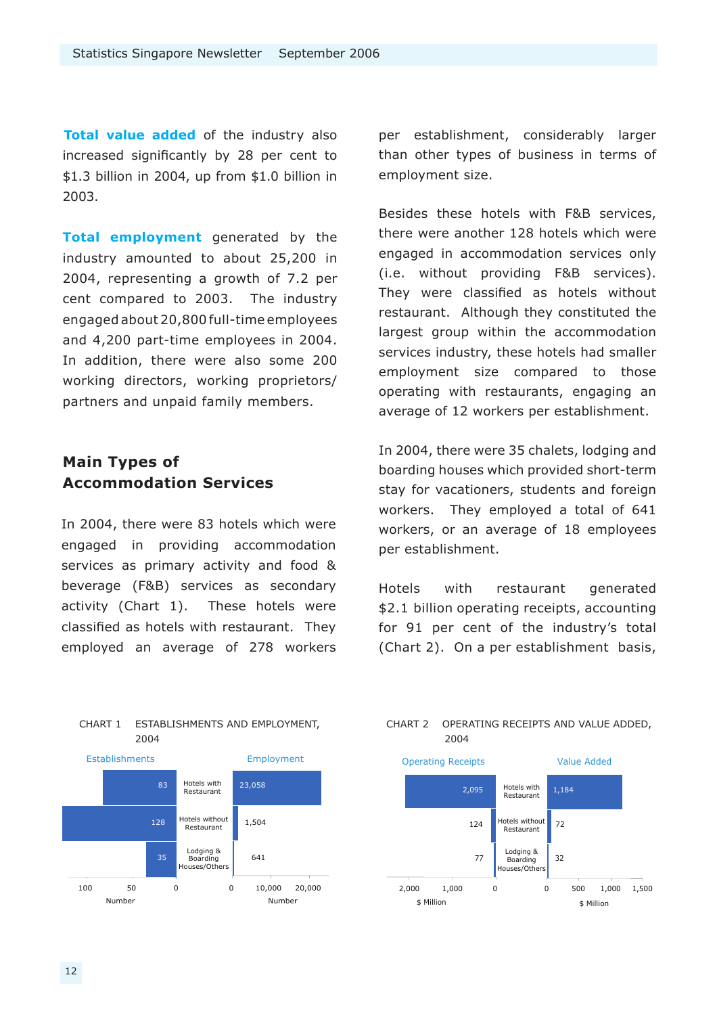**Total value added** of the industry also increased significantly by 28 per cent to \$1.3 billion in 2004, up from \$1.0 billion in 2003.

**Total employment** generated by the industry amounted to about 25,200 in 2004, representing a growth of 7.2 per cent compared to 2003. The industry engaged about 20,800 full-time employees and 4,200 part-time employees in 2004. In addition, there were also some 200 working directors, working proprietors/ partners and unpaid family members.

#### **Main Types of Accommodation Services**

In 2004, there were 83 hotels which were engaged in providing accommodation services as primary activity and food & beverage (F&B) services as secondary activity (Chart 1). These hotels were classified as hotels with restaurant. They employed an average of 278 workers

Number 35 128 83 100 50 0 Establishments 0 10,000 20,000 Number 1,504 23,058 641 Employment Hotels with Restaurant Hotels without Restaurant Lodging & Boarding Houses/Others

CHART 1 ESTABLISHMENTS AND EMPLOYMENT,

2004

per establishment, considerably larger than other types of business in terms of employment size.

Besides these hotels with F&B services, there were another 128 hotels which were engaged in accommodation services only (i.e. without providing F&B services). They were classified as hotels without restaurant. Although they constituted the largest group within the accommodation services industry, these hotels had smaller employment size compared to those operating with restaurants, engaging an average of 12 workers per establishment.

In 2004, there were 35 chalets, lodging and boarding houses which provided short-term stay for vacationers, students and foreign workers. They employed a total of 641 workers, or an average of 18 employees per establishment.

Hotels with restaurant generated \$2.1 billion operating receipts, accounting for 91 per cent of the industry's total (Chart 2). On a per establishment basis,



CHART 2 OPERATING RECEIPTS AND VALUE ADDED,

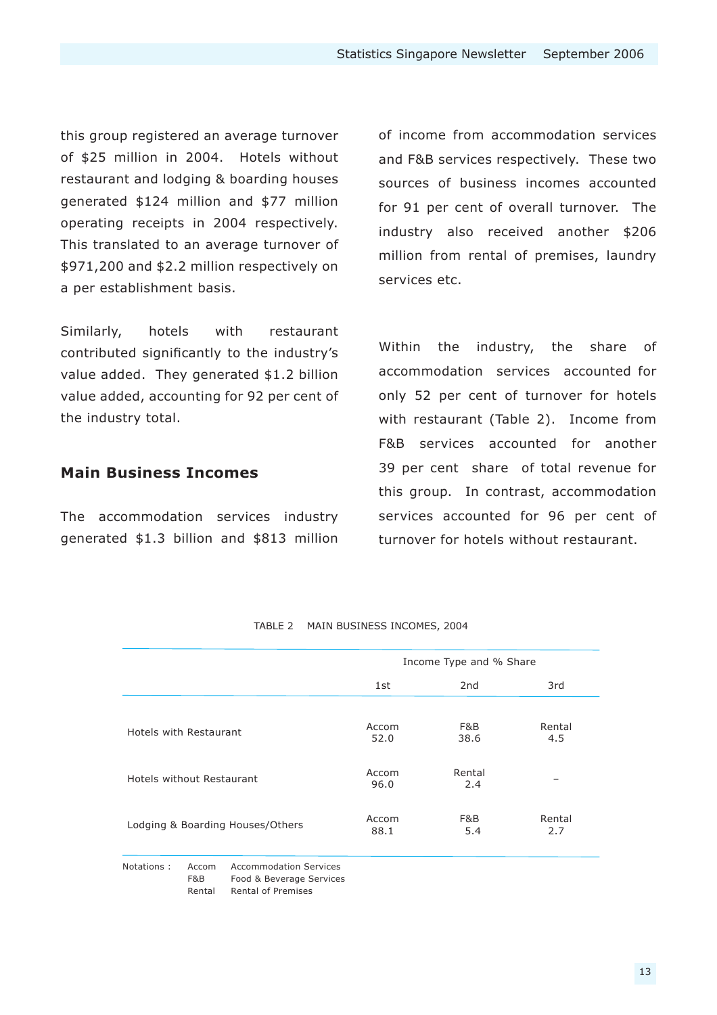this group registered an average turnover of \$25 million in 2004. Hotels without restaurant and lodging & boarding houses generated \$124 million and \$77 million operating receipts in 2004 respectively. This translated to an average turnover of \$971,200 and \$2.2 million respectively on a per establishment basis.

Similarly, hotels with restaurant contributed significantly to the industry's value added. They generated \$1.2 billion value added, accounting for 92 per cent of the industry total.

#### **Main Business Incomes**

The accommodation services industry generated \$1.3 billion and \$813 million

of income from accommodation services and F&B services respectively. These two sources of business incomes accounted for 91 per cent of overall turnover. The industry also received another \$206 million from rental of premises, laundry services etc.

Within the industry, the share of accommodation services accounted for only 52 per cent of turnover for hotels with restaurant (Table 2). Income from F&B services accounted for another 39 per cent share of total revenue for this group. In contrast, accommodation services accounted for 96 per cent of turnover for hotels without restaurant.

|                                  | Income Type and % Share |                 |               |
|----------------------------------|-------------------------|-----------------|---------------|
|                                  | 1st                     | 2 <sub>nd</sub> | 3rd           |
| Hotels with Restaurant           | Accom<br>52.0           | F&B<br>38.6     | Rental<br>4.5 |
| Hotels without Restaurant        | Accom<br>96.0           | Rental<br>2.4   |               |
| Lodging & Boarding Houses/Others | Accom<br>88.1           | F&B<br>5.4      | Rental<br>2.7 |

TABLE 2 MAIN BUSINESS INCOMES, 2004

F&B Food & Beverage Services Rental Rental of Premises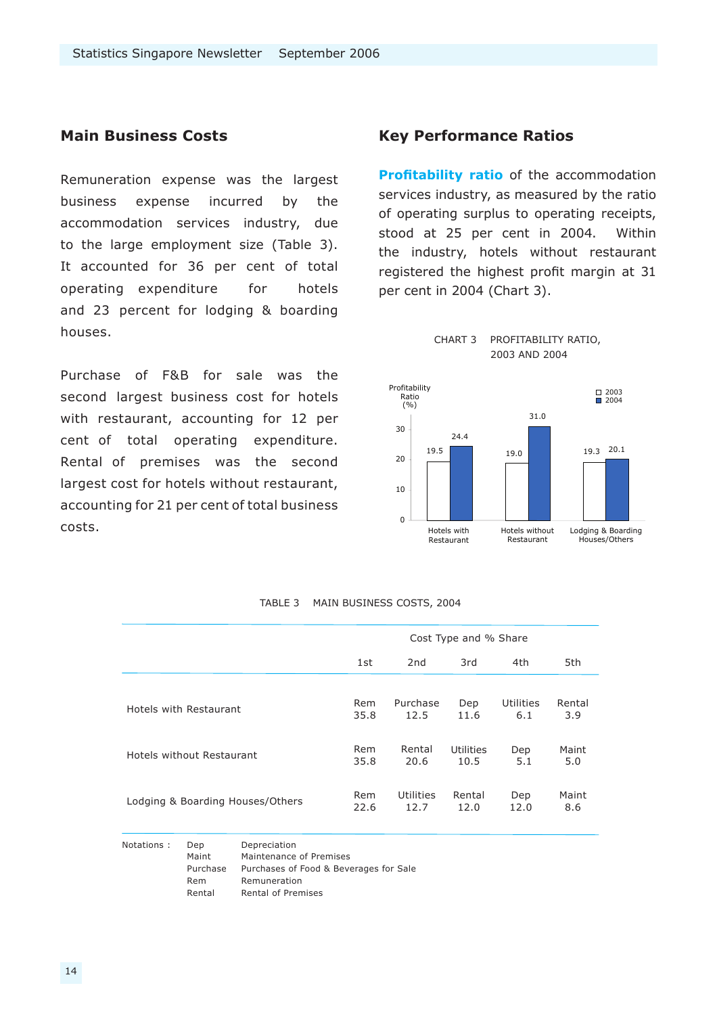#### **Main Business Costs**

Remuneration expense was the largest business expense incurred by the accommodation services industry, due to the large employment size (Table 3). It accounted for 36 per cent of total operating expenditure for hotels and 23 percent for lodging & boarding houses.

Purchase of F&B for sale was the second largest business cost for hotels with restaurant, accounting for 12 per cent of total operating expenditure. Rental of premises was the second largest cost for hotels without restaurant, accounting for 21 per cent of total business costs.

#### **Key Performance Ratios**

**Profitability ratio** of the accommodation services industry, as measured by the ratio of operating surplus to operating receipts, stood at 25 per cent in 2004. Within the industry, hotels without restaurant registered the highest profit margin at 31 per cent in 2004 (Chart 3).





|                                  | Cost Type and % Share                       |           |           |                  |        |  |
|----------------------------------|---------------------------------------------|-----------|-----------|------------------|--------|--|
|                                  | 2 <sub>nd</sub><br>3rd<br>4th<br>5th<br>1st |           |           |                  |        |  |
| Hotels with Restaurant           | Rem                                         | Purchase  | Dep       | <b>Utilities</b> | Rental |  |
|                                  | 35.8                                        | 12.5      | 11.6      | 6.1              | 3.9    |  |
| Hotels without Restaurant        | Rem                                         | Rental    | Utilities | Dep              | Maint  |  |
|                                  | 35.8                                        | 20.6      | 10.5      | 5.1              | 5.0    |  |
| Lodging & Boarding Houses/Others | Rem                                         | Utilities | Rental    | Dep              | Maint  |  |
|                                  | 22.6                                        | 12.7      | 12.0      | 12.0             | 8.6    |  |

| TABLE 3 | MAIN BUSINESS COSTS, 2004 |  |
|---------|---------------------------|--|
|         |                           |  |

Notations : Dep Depreciation Maint Maintenance of Premises Purchase Purchases of Food & Beverages for Sale Rem Remuneration Rental Rental of Premises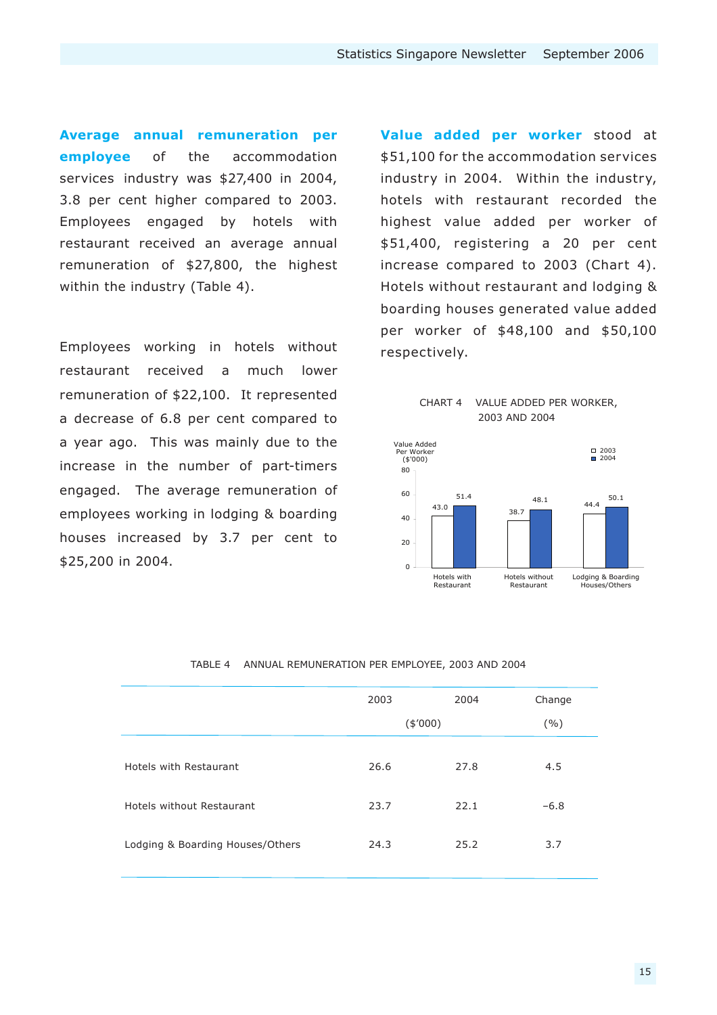**Average annual remuneration per employee** of the accommodation services industry was \$27,400 in 2004, 3.8 per cent higher compared to 2003. Employees engaged by hotels with restaurant received an average annual remuneration of \$27,800, the highest within the industry (Table 4).

Employees working in hotels without restaurant received a much lower remuneration of \$22,100. It represented a decrease of 6.8 per cent compared to a year ago. This was mainly due to the increase in the number of part-timers engaged. The average remuneration of employees working in lodging & boarding houses increased by 3.7 per cent to \$25,200 in 2004.

**Value added per worker** stood at \$51,100 for the accommodation services industry in 2004. Within the industry, hotels with restaurant recorded the highest value added per worker of \$51,400, registering a 20 per cent increase compared to 2003 (Chart 4). Hotels without restaurant and lodging & boarding houses generated value added per worker of \$48,100 and \$50,100 respectively.





|                                  | 2003    | 2004 | Change |
|----------------------------------|---------|------|--------|
|                                  | (\$000) |      | ( %)   |
|                                  |         |      |        |
| Hotels with Restaurant           | 26.6    | 27.8 | 4.5    |
|                                  |         |      |        |
| Hotels without Restaurant        | 23.7    | 22.1 | $-6.8$ |
|                                  |         |      |        |
| Lodging & Boarding Houses/Others | 24.3    | 25.2 | 3.7    |
|                                  |         |      |        |

#### TABLE 4 ANNUAL REMUNERATION PER EMPLOYEE, 2003 AND 2004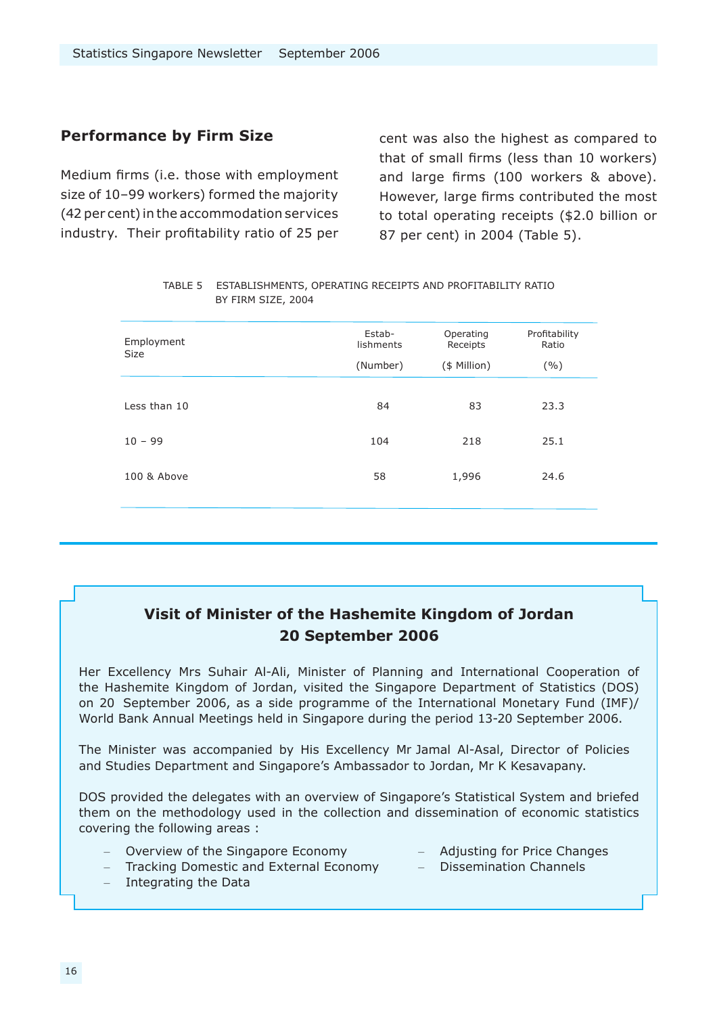#### **Performance by Firm Size**

Medium firms (i.e. those with employment size of 10–99 workers) formed the majority (42 per cent) in the accommodation services industry. Their profitability ratio of 25 per cent was also the highest as compared to that of small firms (less than 10 workers) and large firms (100 workers & above). However, large firms contributed the most to total operating receipts (\$2.0 billion or 87 per cent) in 2004 (Table 5).

| Employment<br><b>Size</b> | Estab-<br>lishments | Operating<br>Receipts | Profitability<br>Ratio |
|---------------------------|---------------------|-----------------------|------------------------|
|                           | (Number)            | (\$ Million)          | (9/0)                  |
|                           |                     |                       |                        |
| Less than 10              | 84                  | 83                    | 23.3                   |
|                           |                     |                       |                        |
| $10 - 99$                 | 104                 | 218                   | 25.1                   |
| 100 & Above               | 58                  | 1,996                 | 24.6                   |
|                           |                     |                       |                        |
|                           |                     |                       |                        |

| TABLE 5 ESTABLISHMENTS, OPERATING RECEIPTS AND PROFITABILITY RATIO |
|--------------------------------------------------------------------|
| BY FIRM SIZE, 2004                                                 |

#### **Visit of Minister of the Hashemite Kingdom of Jordan 20 September 2006**

Her Excellency Mrs Suhair Al-Ali, Minister of Planning and International Cooperation of the Hashemite Kingdom of Jordan, visited the Singapore Department of Statistics (DOS) on 20 September 2006, as a side programme of the International Monetary Fund (IMF)/ World Bank Annual Meetings held in Singapore during the period 13-20 September 2006.

The Minister was accompanied by His Excellency Mr Jamal Al-Asal, Director of Policies and Studies Department and Singapore's Ambassador to Jordan, Mr K Kesavapany.

DOS provided the delegates with an overview of Singapore's Statistical System and briefed them on the methodology used in the collection and dissemination of economic statistics covering the following areas :

- Overview of the Singapore Economy Adjusting for Price Changes
- Tracking Domestic and External Economy Dissemination Channels
- Integrating the Data
- 
-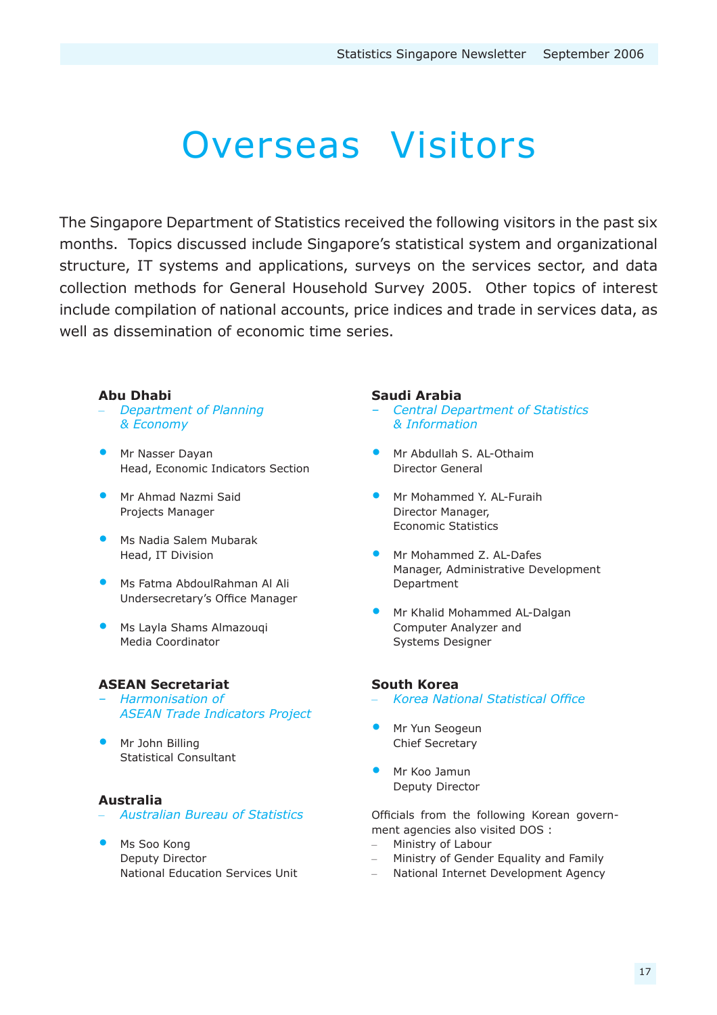# Overseas Visitors

The Singapore Department of Statistics received the following visitors in the past six months. Topics discussed include Singapore's statistical system and organizational structure, IT systems and applications, surveys on the services sector, and data collection methods for General Household Survey 2005. Other topics of interest include compilation of national accounts, price indices and trade in services data, as well as dissemination of economic time series.

#### **Abu Dhabi**

- *Department of Planning & Economy*
- **Mr Nasser Dayan** Head, Economic Indicators Section
- Mr Ahmad Nazmi Said Projects Manager
- **Ms Nadia Salem Mubarak** Head, IT Division
- Ms Fatma AbdoulRahman Al Ali Undersecretary's Office Manager
- Ms Layla Shams Almazouqi Media Coordinator

#### **ASEAN Secretariat**

- *Harmonisation of ASEAN Trade Indicators Project*
- Mr John Billing Statistical Consultant

#### **Australia**

- *Australian Bureau of Statistics*
- Ms Soo Kong Deputy Director National Education Services Unit

#### **Saudi Arabia**

- *Central Department of Statistics & Information*
- Mr Abdullah S. AL-Othaim Director General
- Mr Mohammed Y. AL-Furaih Director Manager, Economic Statistics
- Mr Mohammed Z. AL-Dafes Manager, Administrative Development Department
- Mr Khalid Mohammed AL-Dalgan Computer Analyzer and Systems Designer •

#### **South Korea**

- *Korea National Statistical Office*
- **Mr Yun Seogeun** Chief Secretary
- Mr Koo Jamun Deputy Director

Officials from the following Korean government agencies also visited DOS :

- Ministry of Labour
- Ministry of Gender Equality and Family
- National Internet Development Agency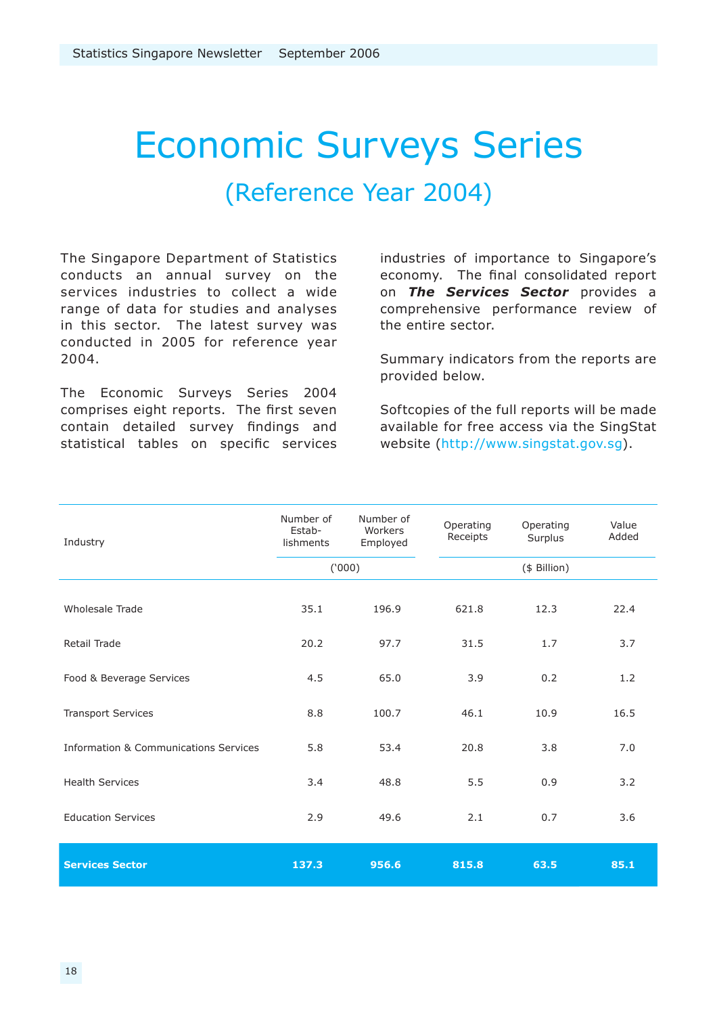# Economic Surveys Series (Reference Year 2004)

The Singapore Department of Statistics conducts an annual survey on the services industries to collect a wide range of data for studies and analyses in this sector. The latest survey was conducted in 2005 for reference year 2004.

The Economic Surveys Series 2004 comprises eight reports. The first seven contain detailed survey findings and statistical tables on specific services industries of importance to Singapore's economy. The final consolidated report on *The Services Sector* provides a comprehensive performance review of the entire sector.

Summary indicators from the reports are provided below.

Softcopies of the full reports will be made available for free access via the SingStat website (http://www.singstat.gov.sg).

| Industry                                         | Number of<br>Estab-<br>lishments | Number of<br>Workers<br>Employed | Operating<br>Receipts | Operating<br>Surplus | Value<br>Added |
|--------------------------------------------------|----------------------------------|----------------------------------|-----------------------|----------------------|----------------|
|                                                  | (000)                            |                                  |                       | (\$ Billion)         |                |
| Wholesale Trade                                  | 35.1                             | 196.9                            | 621.8                 | 12.3                 | 22.4           |
| Retail Trade                                     | 20.2                             | 97.7                             | 31.5                  | 1.7                  | 3.7            |
| Food & Beverage Services                         | 4.5                              | 65.0                             | 3.9                   | 0.2                  | 1.2            |
| <b>Transport Services</b>                        | 8.8                              | 100.7                            | 46.1                  | 10.9                 | 16.5           |
| <b>Information &amp; Communications Services</b> | 5.8                              | 53.4                             | 20.8                  | 3.8                  | 7.0            |
| <b>Health Services</b>                           | 3.4                              | 48.8                             | 5.5                   | 0.9                  | 3.2            |
| <b>Education Services</b>                        | 2.9                              | 49.6                             | 2.1                   | 0.7                  | 3.6            |
| <b>Services Sector</b>                           | 137.3                            | 956.6                            | 815.8                 | 63.5                 | 85.1           |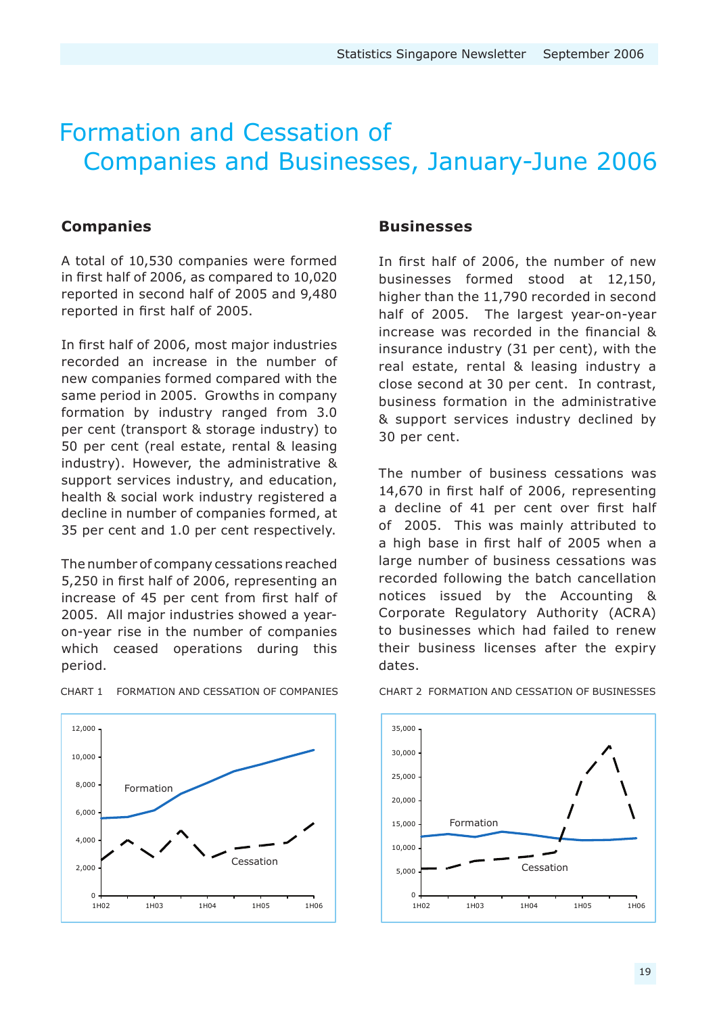### Formation and Cessation of Companies and Businesses, January-June 2006

#### **Companies**

A total of 10,530 companies were formed in first half of 2006, as compared to 10,020 reported in second half of 2005 and 9,480 reported in first half of 2005.

In first half of 2006, most major industries recorded an increase in the number of new companies formed compared with the same period in 2005. Growths in company formation by industry ranged from 3.0 per cent (transport & storage industry) to 50 per cent (real estate, rental & leasing industry). However, the administrative & support services industry, and education, health & social work industry registered a decline in number of companies formed, at 35 per cent and 1.0 per cent respectively.

The number of company cessations reached 5,250 in first half of 2006, representing an increase of 45 per cent from first half of 2005. All major industries showed a yearon-year rise in the number of companies which ceased operations during this period.

#### **Businesses**

In first half of 2006, the number of new businesses formed stood at 12,150, higher than the 11,790 recorded in second half of 2005. The largest year-on-year increase was recorded in the financial & insurance industry (31 per cent), with the real estate, rental & leasing industry a close second at 30 per cent. In contrast, business formation in the administrative & support services industry declined by 30 per cent.

The number of business cessations was 14,670 in first half of 2006, representing a decline of 41 per cent over first half of 2005. This was mainly attributed to a high base in first half of 2005 when a large number of business cessations was recorded following the batch cancellation notices issued by the Accounting & Corporate Regulatory Authority (ACRA) to businesses which had failed to renew their business licenses after the expiry dates.



CHART 1 FORMATION AND CESSATION OF COMPANIES CHART 2 FORMATION AND CESSATION OF BUSINESSES